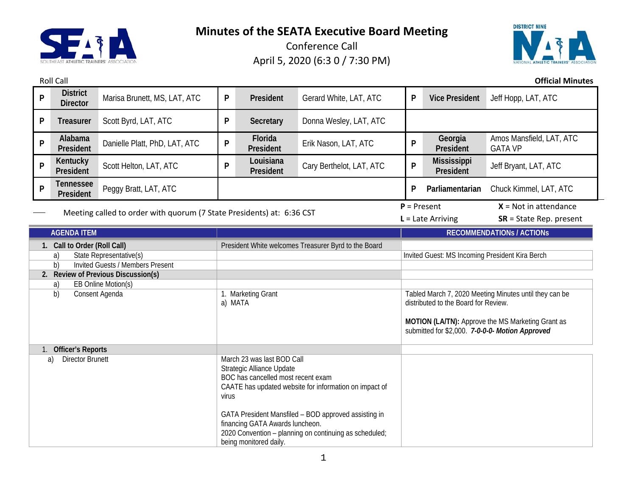

Conference Call April 5, 2020 (6:3 0 / 7:30 PM)



Roll Call **Official Minutes**

| P                                                                     | <b>District</b><br><b>Director</b>          | Marisa Brunett, MS, LAT, ATC                                                                                                                                                                                                                                                                                                                    | P                                                    | President              | Gerard White, LAT, ATC                                                                               | P                   | <b>Vice President</b>                                | Jeff Hopp, LAT, ATC                        |
|-----------------------------------------------------------------------|---------------------------------------------|-------------------------------------------------------------------------------------------------------------------------------------------------------------------------------------------------------------------------------------------------------------------------------------------------------------------------------------------------|------------------------------------------------------|------------------------|------------------------------------------------------------------------------------------------------|---------------------|------------------------------------------------------|--------------------------------------------|
| P                                                                     | <b>Treasurer</b>                            | Scott Byrd, LAT, ATC                                                                                                                                                                                                                                                                                                                            | P                                                    | <b>Secretary</b>       | Donna Wesley, LAT, ATC                                                                               |                     |                                                      |                                            |
| P                                                                     | Alabama<br>President                        | Danielle Platt, PhD, LAT, ATC                                                                                                                                                                                                                                                                                                                   | P                                                    | Florida<br>President   | Erik Nason, LAT, ATC                                                                                 | P                   | Georgia<br>President                                 | Amos Mansfield, LAT, ATC<br><b>GATA VP</b> |
| P                                                                     | Kentucky<br>President                       | Scott Helton, LAT, ATC                                                                                                                                                                                                                                                                                                                          | P                                                    | Louisiana<br>President | Cary Berthelot, LAT, ATC                                                                             | P                   | <b>Mississippi</b><br>President                      | Jeff Bryant, LAT, ATC                      |
| P                                                                     | <b>Tennessee</b><br>President               | Peggy Bratt, LAT, ATC                                                                                                                                                                                                                                                                                                                           |                                                      |                        |                                                                                                      | P                   | Parliamentarian                                      | Chuck Kimmel, LAT, ATC                     |
| Meeting called to order with quorum (7 State Presidents) at: 6:36 CST |                                             |                                                                                                                                                                                                                                                                                                                                                 |                                                      |                        | $P = Present$                                                                                        | $L =$ Late Arriving | $X = Not in attendance$<br>$SR = State Rep. present$ |                                            |
| <b>AGENDA ITEM</b>                                                    |                                             |                                                                                                                                                                                                                                                                                                                                                 |                                                      |                        |                                                                                                      |                     |                                                      | <b>RECOMMENDATIONS / ACTIONS</b>           |
| 1. Call to Order (Roll Call)                                          |                                             |                                                                                                                                                                                                                                                                                                                                                 | President White welcomes Treasurer Byrd to the Board |                        |                                                                                                      |                     |                                                      |                                            |
|                                                                       | a)                                          | State Representative(s)                                                                                                                                                                                                                                                                                                                         |                                                      |                        | Invited Guest: MS Incoming President Kira Berch                                                      |                     |                                                      |                                            |
| <b>Invited Guests / Members Present</b><br>b)                         |                                             |                                                                                                                                                                                                                                                                                                                                                 |                                                      |                        |                                                                                                      |                     |                                                      |                                            |
| 2. Review of Previous Discussion(s)                                   |                                             |                                                                                                                                                                                                                                                                                                                                                 |                                                      |                        |                                                                                                      |                     |                                                      |                                            |
|                                                                       | EB Online Motion(s)<br>a)<br>Consent Agenda |                                                                                                                                                                                                                                                                                                                                                 |                                                      |                        |                                                                                                      |                     |                                                      |                                            |
|                                                                       | b)                                          |                                                                                                                                                                                                                                                                                                                                                 | 1. Marketing Grant<br>a) MATA                        |                        | Tabled March 7, 2020 Meeting Minutes until they can be<br>distributed to the Board for Review.       |                     |                                                      |                                            |
|                                                                       |                                             |                                                                                                                                                                                                                                                                                                                                                 |                                                      |                        |                                                                                                      |                     |                                                      |                                            |
|                                                                       |                                             |                                                                                                                                                                                                                                                                                                                                                 |                                                      |                        | MOTION (LA/TN): Approve the MS Marketing Grant as<br>submitted for \$2,000. 7-0-0-0- Motion Approved |                     |                                                      |                                            |
|                                                                       | <b>Officer's Reports</b>                    |                                                                                                                                                                                                                                                                                                                                                 |                                                      |                        |                                                                                                      |                     |                                                      |                                            |
| <b>Director Brunett</b><br>a)                                         |                                             | March 23 was last BOD Call<br>Strategic Alliance Update<br>BOC has cancelled most recent exam<br>CAATE has updated website for information on impact of<br>virus<br>GATA President Mansfiled - BOD approved assisting in<br>financing GATA Awards luncheon.<br>2020 Convention - planning on continuing as scheduled;<br>being monitored daily. |                                                      |                        |                                                                                                      |                     |                                                      |                                            |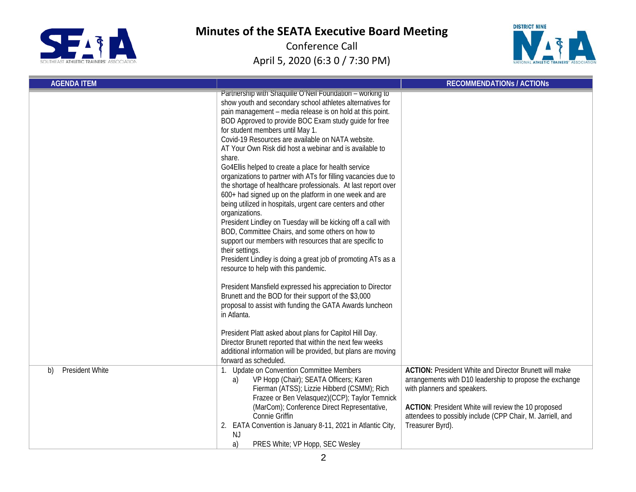



| <b>AGENDA ITEM</b>           |                                                                                                                                                                                                                                                                                                                                                                                                                                                                                                                                                                                                                                                                                                                                                                                                                                                                                                                                                                                                                                                                                                                                                                                                                                                                                                                                                                                                                                                                             | <b>RECOMMENDATIONS / ACTIONS</b>                                                                                                                                                                                                                                                                         |
|------------------------------|-----------------------------------------------------------------------------------------------------------------------------------------------------------------------------------------------------------------------------------------------------------------------------------------------------------------------------------------------------------------------------------------------------------------------------------------------------------------------------------------------------------------------------------------------------------------------------------------------------------------------------------------------------------------------------------------------------------------------------------------------------------------------------------------------------------------------------------------------------------------------------------------------------------------------------------------------------------------------------------------------------------------------------------------------------------------------------------------------------------------------------------------------------------------------------------------------------------------------------------------------------------------------------------------------------------------------------------------------------------------------------------------------------------------------------------------------------------------------------|----------------------------------------------------------------------------------------------------------------------------------------------------------------------------------------------------------------------------------------------------------------------------------------------------------|
|                              | Partnership with Shaquille O'Nell Foundation - working to<br>show youth and secondary school athletes alternatives for<br>pain management - media release is on hold at this point.<br>BOD Approved to provide BOC Exam study guide for free<br>for student members until May 1.<br>Covid-19 Resources are available on NATA website.<br>AT Your Own Risk did host a webinar and is available to<br>share.<br>Go4Ellis helped to create a place for health service<br>organizations to partner with ATs for filling vacancies due to<br>the shortage of healthcare professionals. At last report over<br>600+ had signed up on the platform in one week and are<br>being utilized in hospitals, urgent care centers and other<br>organizations.<br>President Lindley on Tuesday will be kicking off a call with<br>BOD, Committee Chairs, and some others on how to<br>support our members with resources that are specific to<br>their settings.<br>President Lindley is doing a great job of promoting ATs as a<br>resource to help with this pandemic.<br>President Mansfield expressed his appreciation to Director<br>Brunett and the BOD for their support of the \$3,000<br>proposal to assist with funding the GATA Awards luncheon<br>in Atlanta.<br>President Platt asked about plans for Capitol Hill Day.<br>Director Brunett reported that within the next few weeks<br>additional information will be provided, but plans are moving<br>forward as scheduled. |                                                                                                                                                                                                                                                                                                          |
| <b>President White</b><br>b) | 1. Update on Convention Committee Members<br>VP Hopp (Chair); SEATA Officers; Karen<br>a)<br>Fierman (ATSS); Lizzie Hibberd (CSMM); Rich<br>Frazee or Ben Velasquez)(CCP); Taylor Temnick<br>(MarCom); Conference Direct Representative,<br>Connie Griffin<br>2. EATA Convention is January 8-11, 2021 in Atlantic City,<br>NJ<br>PRES White; VP Hopp, SEC Wesley<br>a)                                                                                                                                                                                                                                                                                                                                                                                                                                                                                                                                                                                                                                                                                                                                                                                                                                                                                                                                                                                                                                                                                                     | <b>ACTION:</b> President White and Director Brunett will make<br>arrangements with D10 leadership to propose the exchange<br>with planners and speakers.<br><b>ACTION:</b> President White will review the 10 proposed<br>attendees to possibly include (CPP Chair, M. Jarriell, and<br>Treasurer Byrd). |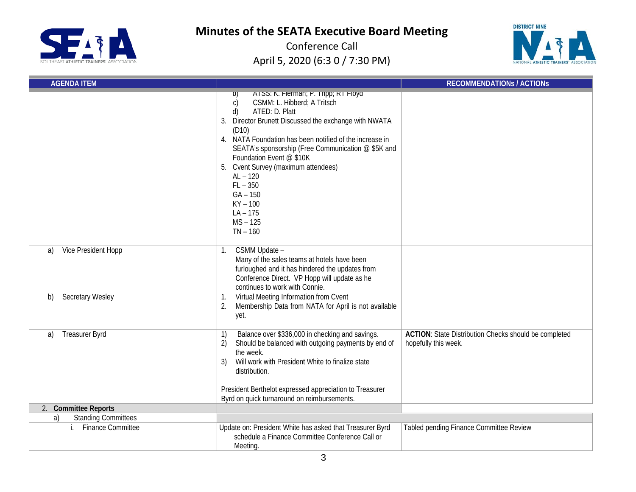



| <b>AGENDA ITEM</b>               |                                                                                                                                                                                                                                                                                                                                                                                                                                                                           | <b>RECOMMENDATIONS / ACTIONS</b>                                                     |
|----------------------------------|---------------------------------------------------------------------------------------------------------------------------------------------------------------------------------------------------------------------------------------------------------------------------------------------------------------------------------------------------------------------------------------------------------------------------------------------------------------------------|--------------------------------------------------------------------------------------|
|                                  | ATSS: K. Flerman; P. Tripp; RT Floyd<br>D)<br>CSMM: L. Hibberd; A Tritsch<br>$\mathsf{C}$<br>ATED: D. Platt<br>d)<br>3. Director Brunett Discussed the exchange with NWATA<br>(D10)<br>4. NATA Foundation has been notified of the increase in<br>SEATA's sponsorship (Free Communication @ \$5K and<br>Foundation Event @ \$10K<br>5. Cvent Survey (maximum attendees)<br>$AL - 120$<br>$FL - 350$<br>$GA - 150$<br>$KY - 100$<br>$LA - 175$<br>$MS - 125$<br>$TN - 160$ |                                                                                      |
| Vice President Hopp<br>a)        | CSMM Update -<br>1.<br>Many of the sales teams at hotels have been<br>furloughed and it has hindered the updates from<br>Conference Direct. VP Hopp will update as he<br>continues to work with Connie.                                                                                                                                                                                                                                                                   |                                                                                      |
| <b>Secretary Wesley</b><br>b)    | Virtual Meeting Information from Cvent<br>1.<br>Membership Data from NATA for April is not available<br>2.<br>yet.                                                                                                                                                                                                                                                                                                                                                        |                                                                                      |
| <b>Treasurer Byrd</b><br>a)      | Balance over \$336,000 in checking and savings.<br>1)<br>2)<br>Should be balanced with outgoing payments by end of<br>the week.<br>Will work with President White to finalize state<br>3)<br>distribution.<br>President Berthelot expressed appreciation to Treasurer                                                                                                                                                                                                     | <b>ACTION:</b> State Distribution Checks should be completed<br>hopefully this week. |
| 2. Committee Reports             | Byrd on quick turnaround on reimbursements.                                                                                                                                                                                                                                                                                                                                                                                                                               |                                                                                      |
| <b>Standing Committees</b><br>a) |                                                                                                                                                                                                                                                                                                                                                                                                                                                                           |                                                                                      |
| <b>Finance Committee</b><br>i.   | Update on: President White has asked that Treasurer Byrd<br>schedule a Finance Committee Conference Call or<br>Meeting.                                                                                                                                                                                                                                                                                                                                                   | Tabled pending Finance Committee Review                                              |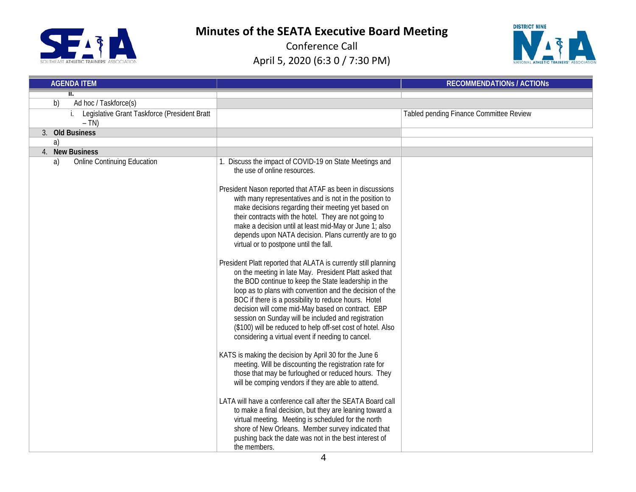



| <b>AGENDA ITEM</b>                                     |                                                                                                                                                                                                                                                                                                                                                                                                                                                                                                                                                                                                                                                                                                                                                                                                                                                                                                                                                                                                                                                                                                                                                                                                                                                                                                                                                                                                                                                                                                                                                                                         | <b>RECOMMENDATIONS / ACTIONS</b>        |
|--------------------------------------------------------|-----------------------------------------------------------------------------------------------------------------------------------------------------------------------------------------------------------------------------------------------------------------------------------------------------------------------------------------------------------------------------------------------------------------------------------------------------------------------------------------------------------------------------------------------------------------------------------------------------------------------------------------------------------------------------------------------------------------------------------------------------------------------------------------------------------------------------------------------------------------------------------------------------------------------------------------------------------------------------------------------------------------------------------------------------------------------------------------------------------------------------------------------------------------------------------------------------------------------------------------------------------------------------------------------------------------------------------------------------------------------------------------------------------------------------------------------------------------------------------------------------------------------------------------------------------------------------------------|-----------------------------------------|
|                                                        |                                                                                                                                                                                                                                                                                                                                                                                                                                                                                                                                                                                                                                                                                                                                                                                                                                                                                                                                                                                                                                                                                                                                                                                                                                                                                                                                                                                                                                                                                                                                                                                         |                                         |
| Ad hoc / Taskforce(s)<br>b)                            |                                                                                                                                                                                                                                                                                                                                                                                                                                                                                                                                                                                                                                                                                                                                                                                                                                                                                                                                                                                                                                                                                                                                                                                                                                                                                                                                                                                                                                                                                                                                                                                         |                                         |
| Legislative Grant Taskforce (President Bratt<br>$- TN$ |                                                                                                                                                                                                                                                                                                                                                                                                                                                                                                                                                                                                                                                                                                                                                                                                                                                                                                                                                                                                                                                                                                                                                                                                                                                                                                                                                                                                                                                                                                                                                                                         | Tabled pending Finance Committee Review |
| 3. Old Business                                        |                                                                                                                                                                                                                                                                                                                                                                                                                                                                                                                                                                                                                                                                                                                                                                                                                                                                                                                                                                                                                                                                                                                                                                                                                                                                                                                                                                                                                                                                                                                                                                                         |                                         |
| a)                                                     |                                                                                                                                                                                                                                                                                                                                                                                                                                                                                                                                                                                                                                                                                                                                                                                                                                                                                                                                                                                                                                                                                                                                                                                                                                                                                                                                                                                                                                                                                                                                                                                         |                                         |
| <b>New Business</b><br>4.                              |                                                                                                                                                                                                                                                                                                                                                                                                                                                                                                                                                                                                                                                                                                                                                                                                                                                                                                                                                                                                                                                                                                                                                                                                                                                                                                                                                                                                                                                                                                                                                                                         |                                         |
| <b>Online Continuing Education</b><br>a)               | 1. Discuss the impact of COVID-19 on State Meetings and<br>the use of online resources.<br>President Nason reported that ATAF as been in discussions<br>with many representatives and is not in the position to<br>make decisions regarding their meeting yet based on<br>their contracts with the hotel. They are not going to<br>make a decision until at least mid-May or June 1; also<br>depends upon NATA decision. Plans currently are to go<br>virtual or to postpone until the fall.<br>President Platt reported that ALATA is currently still planning<br>on the meeting in late May. President Platt asked that<br>the BOD continue to keep the State leadership in the<br>loop as to plans with convention and the decision of the<br>BOC if there is a possibility to reduce hours. Hotel<br>decision will come mid-May based on contract. EBP<br>session on Sunday will be included and registration<br>(\$100) will be reduced to help off-set cost of hotel. Also<br>considering a virtual event if needing to cancel.<br>KATS is making the decision by April 30 for the June 6<br>meeting. Will be discounting the registration rate for<br>those that may be furloughed or reduced hours. They<br>will be comping vendors if they are able to attend.<br>LATA will have a conference call after the SEATA Board call<br>to make a final decision, but they are leaning toward a<br>virtual meeting. Meeting is scheduled for the north<br>shore of New Orleans. Member survey indicated that<br>pushing back the date was not in the best interest of<br>the members. |                                         |